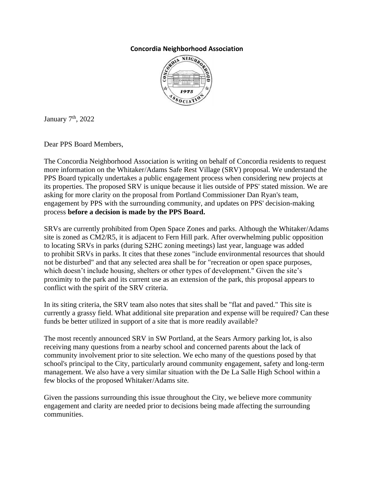## **Concordia Neighborhood Association**



January  $7<sup>th</sup>$ , 2022

Dear PPS Board Members,

The Concordia Neighborhood Association is writing on behalf of Concordia residents to request more information on the Whitaker/Adams Safe Rest Village (SRV) proposal. We understand the PPS Board typically undertakes a public engagement process when considering new projects at its properties. The proposed SRV is unique because it lies outside of PPS' stated mission. We are asking for more clarity on the proposal from Portland Commissioner Dan Ryan's team, engagement by PPS with the surrounding community, and updates on PPS' decision-making process **before a decision is made by the PPS Board.**

SRVs are currently prohibited from Open Space Zones and parks. Although the Whitaker/Adams site is zoned as CM2/R5, it is adjacent to Fern Hill park. After overwhelming public opposition to locating SRVs in parks (during S2HC zoning meetings) last year, language was added to prohibit SRVs in parks. It cites that these zones "include environmental resources that should not be disturbed" and that any selected area shall be for "recreation or open space purposes, which doesn't include housing, shelters or other types of development." Given the site's proximity to the park and its current use as an extension of the park, this proposal appears to conflict with the spirit of the SRV criteria.

In its siting criteria, the SRV team also notes that sites shall be "flat and paved." This site is currently a grassy field. What additional site preparation and expense will be required? Can these funds be better utilized in support of a site that is more readily available?

The most recently announced SRV in SW Portland, at the Sears Armory parking lot, is also receiving many questions from a nearby school and concerned parents about the lack of community involvement prior to site selection. We echo many of the questions posed by that school's principal to the City, particularly around community engagement, safety and long-term management. We also have a very similar situation with the De La Salle High School within a few blocks of the proposed Whitaker/Adams site.

Given the passions surrounding this issue throughout the City, we believe more community engagement and clarity are needed prior to decisions being made affecting the surrounding communities.